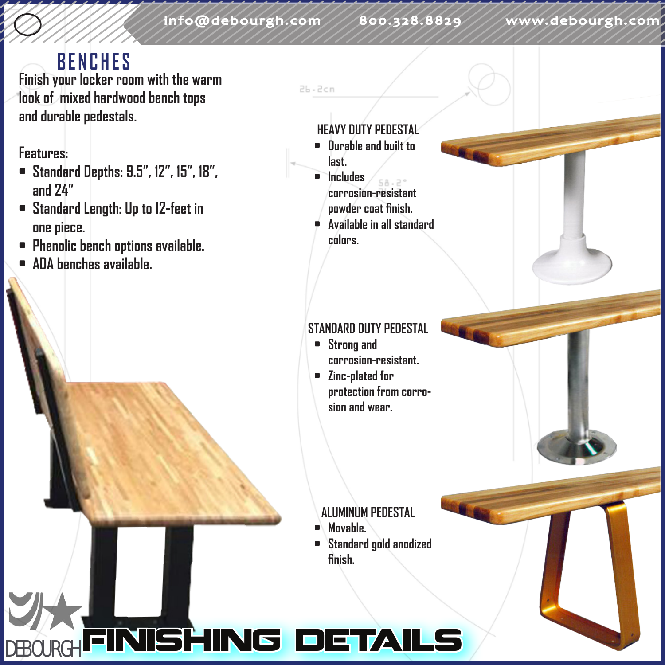26.2cm

### **BENCHES**

**Finish your locker room with the warm look of mixed hardwood bench tops and durable pedestals.**

#### **Features:**

- **• Standard Depths: 9.5", 12", 15", 18", and 24"**
- **• Standard Length: Up to 12-feet in one piece.**
- **• Phenolic bench options available.**
- **• ADA benches available.**

#### **HEAVY DUTY PEDESTAL**

- **• Durable and built to last.**
- **• Includes corrosion-resistant powder coat finish.**
- **• Available in all standard colors.**

#### **STANDARD DUTY PEDESTAL**

- **• Strong and corrosion-resistant.**
- **• Zinc-plated for protection from corrosion and wear.**

**ALUMINUM PEDESTAL**

- **• Movable.**
- **• Standard gold anodized finish.**

# DEBOURGH**FINISHING DETAILS**